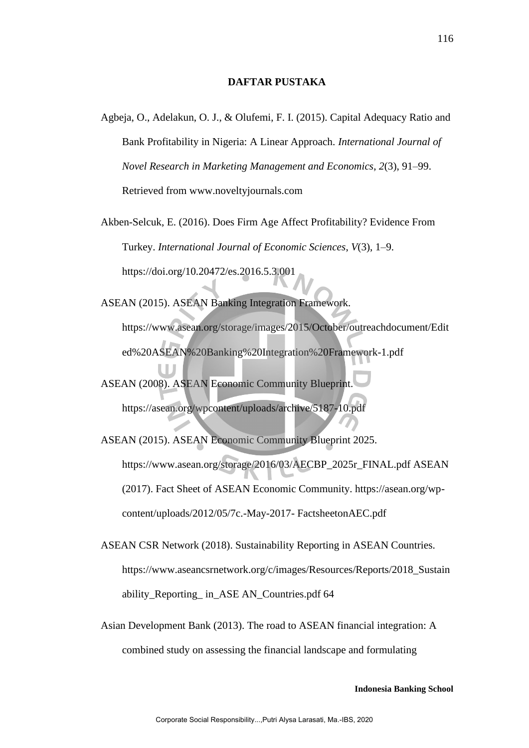## **DAFTAR PUSTAKA**

Agbeja, O., Adelakun, O. J., & Olufemi, F. I. (2015). Capital Adequacy Ratio and Bank Profitability in Nigeria: A Linear Approach. *International Journal of Novel Research in Marketing Management and Economics*, *2*(3), 91–99. Retrieved from www.noveltyjournals.com

Akben-Selcuk, E. (2016). Does Firm Age Affect Profitability? Evidence From Turkey. *International Journal of Economic Sciences*, *V*(3), 1–9. https://doi.org/10.20472/es.2016.5.3.001

ASEAN (2015). ASEAN Banking Integration Framework.

https://www.asean.org/storage/images/2015/October/outreachdocument/Edit ed%20ASEAN%20Banking%20Integration%20Framework-1.pdf

ASEAN (2008). ASEAN Economic Community Blueprint. https://asean.org/wpcontent/uploads/archive/5187-10.pdf

ASEAN (2015). ASEAN Economic Community Blueprint 2025. https://www.asean.org/storage/2016/03/AECBP\_2025r\_FINAL.pdf ASEAN (2017). Fact Sheet of ASEAN Economic Community. https://asean.org/wpcontent/uploads/2012/05/7c.-May-2017- FactsheetonAEC.pdf

ASEAN CSR Network (2018). Sustainability Reporting in ASEAN Countries. https://www.aseancsrnetwork.org/c/images/Resources/Reports/2018 Sustain ability Reporting in ASE AN Countries.pdf 64

Asian Development Bank (2013). The road to ASEAN financial integration: A combined study on assessing the financial landscape and formulating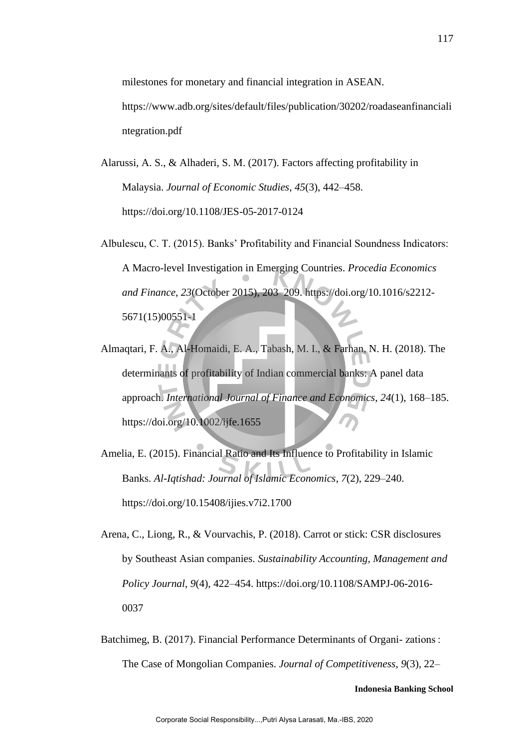milestones for monetary and financial integration in ASEAN. https://www.adb.org/sites/default/files/publication/30202/roadaseanfinanciali ntegration.pdf

- Alarussi, A. S., & Alhaderi, S. M. (2017). Factors affecting profitability in Malaysia. *Journal of Economic Studies*, *45*(3), 442–458. https://doi.org/10.1108/JES-05-2017-0124
- Albulescu, C. T. (2015). Banks' Profitability and Financial Soundness Indicators: A Macro-level Investigation in Emerging Countries. *Procedia Economics and Finance*, *23*(October 2015), 203–209. https://doi.org/10.1016/s2212- 5671(15)00551-1
- Almaqtari, F. A., Al-Homaidi, E. A., Tabash, M. I., & Farhan, N. H. (2018). The determinants of profitability of Indian commercial banks: A panel data approach. *International Journal of Finance and Economics*, *24*(1), 168–185. https://doi.org/10.1002/ijfe.1655
- Amelia, E. (2015). Financial Ratio and Its Influence to Profitability in Islamic Banks. *Al-Iqtishad: Journal of Islamic Economics*, *7*(2), 229–240. https://doi.org/10.15408/ijies.v7i2.1700
- Arena, C., Liong, R., & Vourvachis, P. (2018). Carrot or stick: CSR disclosures by Southeast Asian companies. *Sustainability Accounting, Management and Policy Journal*, *9*(4), 422–454. https://doi.org/10.1108/SAMPJ-06-2016- 0037
- Batchimeg, B. (2017). Financial Performance Determinants of Organi- zations : The Case of Mongolian Companies. *Journal of Competitiveness*, *9*(3), 22–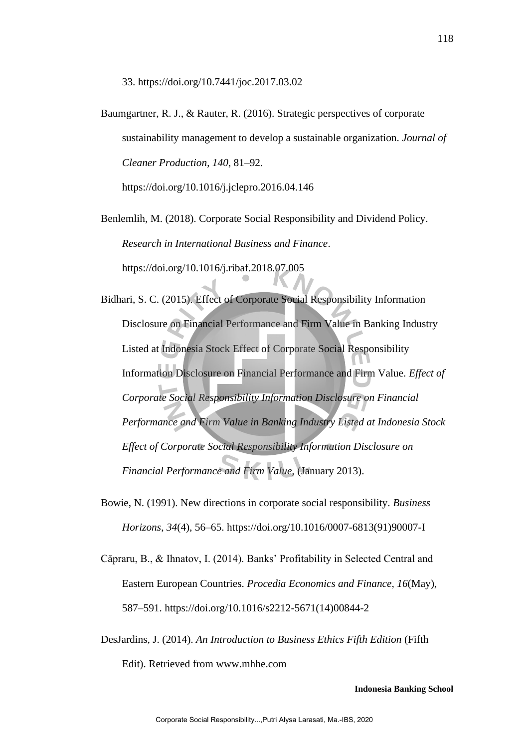33. https://doi.org/10.7441/joc.2017.03.02

Baumgartner, R. J., & Rauter, R. (2016). Strategic perspectives of corporate sustainability management to develop a sustainable organization. *Journal of Cleaner Production*, *140*, 81–92.

https://doi.org/10.1016/j.jclepro.2016.04.146

Benlemlih, M. (2018). Corporate Social Responsibility and Dividend Policy. *Research in International Business and Finance*. https://doi.org/10.1016/j.ribaf.2018.07.005

- Bidhari, S. C. (2015). Effect of Corporate Social Responsibility Information Disclosure on Financial Performance and Firm Value in Banking Industry Listed at Indonesia Stock Effect of Corporate Social Responsibility Information Disclosure on Financial Performance and Firm Value. *Effect of Corporate Social Responsibility Information Disclosure on Financial Performance and Firm Value in Banking Industry Listed at Indonesia Stock Effect of Corporate Social Responsibility Information Disclosure on Financial Performance and Firm Value*, (January 2013).
- Bowie, N. (1991). New directions in corporate social responsibility. *Business Horizons*, *34*(4), 56–65. https://doi.org/10.1016/0007-6813(91)90007-I
- Căpraru, B., & Ihnatov, I. (2014). Banks' Profitability in Selected Central and Eastern European Countries. *Procedia Economics and Finance*, *16*(May), 587–591. https://doi.org/10.1016/s2212-5671(14)00844-2
- DesJardins, J. (2014). *An Introduction to Business Ethics Fifth Edition* (Fifth

Edit). Retrieved from www.mhhe.com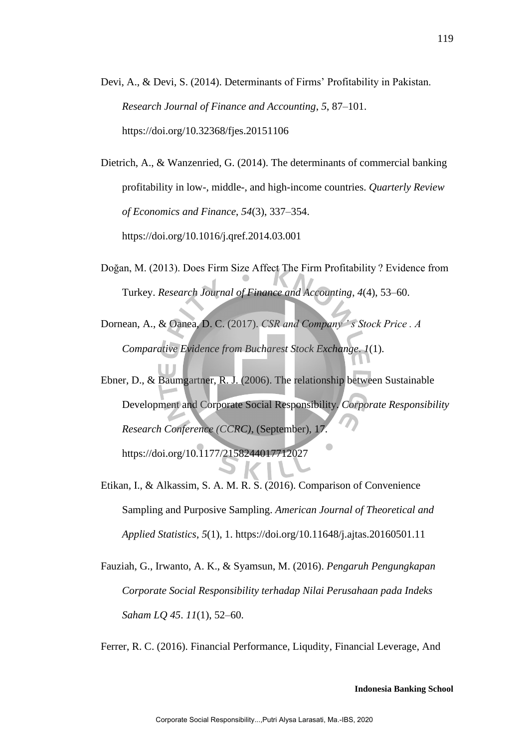Devi, A., & Devi, S. (2014). Determinants of Firms' Profitability in Pakistan. *Research Journal of Finance and Accounting*, *5*, 87–101. https://doi.org/10.32368/fjes.20151106

Dietrich, A., & Wanzenried, G. (2014). The determinants of commercial banking profitability in low-, middle-, and high-income countries. *Quarterly Review of Economics and Finance*, *54*(3), 337–354. https://doi.org/10.1016/j.qref.2014.03.001

- Doğan, M. (2013). Does Firm Size Affect The Firm Profitability ? Evidence from Turkey. *Research Journal of Finance and Accounting*, *4*(4), 53–60.
- Dornean, A., & Oanea, D. C. (2017). *CSR and Company ' s Stock Price . A Comparative Evidence from Bucharest Stock Exchange*. *1*(1).
- Ebner, D., & Baumgartner, R. J. (2006). The relationship between Sustainable Development and Corporate Social Responsibility. *Corporate Responsibility Research Conference (CCRC)*, (September), 17. https://doi.org/10.1177/2158244017712027
- Etikan, I., & Alkassim, S. A. M. R. S. (2016). Comparison of Convenience Sampling and Purposive Sampling. *American Journal of Theoretical and Applied Statistics*, *5*(1), 1. https://doi.org/10.11648/j.ajtas.20160501.11
- Fauziah, G., Irwanto, A. K., & Syamsun, M. (2016). *Pengaruh Pengungkapan Corporate Social Responsibility terhadap Nilai Perusahaan pada Indeks Saham LQ 45*. *11*(1), 52–60.

Ferrer, R. C. (2016). Financial Performance, Liqudity, Financial Leverage, And

119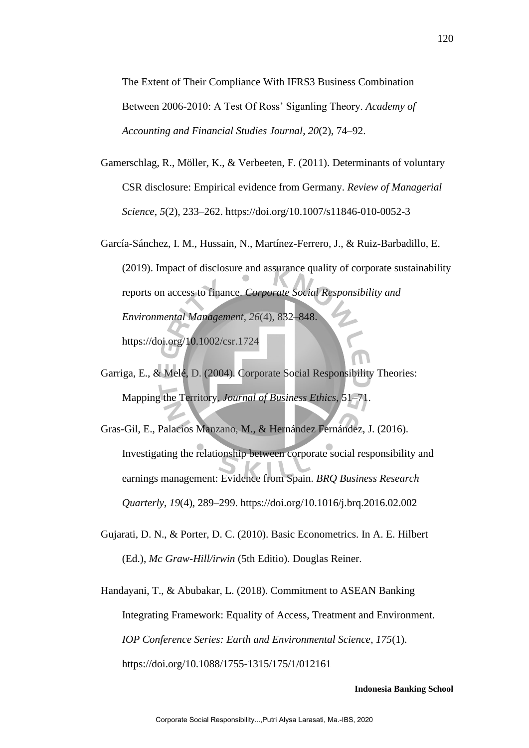The Extent of Their Compliance With IFRS3 Business Combination Between 2006-2010: A Test Of Ross' Siganling Theory. *Academy of Accounting and Financial Studies Journal*, *20*(2), 74–92.

- Gamerschlag, R., Möller, K., & Verbeeten, F. (2011). Determinants of voluntary CSR disclosure: Empirical evidence from Germany. *Review of Managerial Science*, *5*(2), 233–262. https://doi.org/10.1007/s11846-010-0052-3
- García-Sánchez, I. M., Hussain, N., Martínez-Ferrero, J., & Ruiz-Barbadillo, E. (2019). Impact of disclosure and assurance quality of corporate sustainability reports on access to finance. *Corporate Social Responsibility and Environmental Management*, *26*(4), 832–848. https://doi.org/10.1002/csr.1724
- Garriga, E., & Melé, D. (2004). Corporate Social Responsibility Theories: Mapping the Territory. *Journal of Business Ethics*, 51–71.
- Gras-Gil, E., Palacios Manzano, M., & Hernández Fernández, J. (2016). Investigating the relationship between corporate social responsibility and earnings management: Evidence from Spain. *BRQ Business Research Quarterly*, *19*(4), 289–299. https://doi.org/10.1016/j.brq.2016.02.002
- Gujarati, D. N., & Porter, D. C. (2010). Basic Econometrics. In A. E. Hilbert (Ed.), *Mc Graw-Hill/irwin* (5th Editio). Douglas Reiner.
- Handayani, T., & Abubakar, L. (2018). Commitment to ASEAN Banking Integrating Framework: Equality of Access, Treatment and Environment. *IOP Conference Series: Earth and Environmental Science*, *175*(1). https://doi.org/10.1088/1755-1315/175/1/012161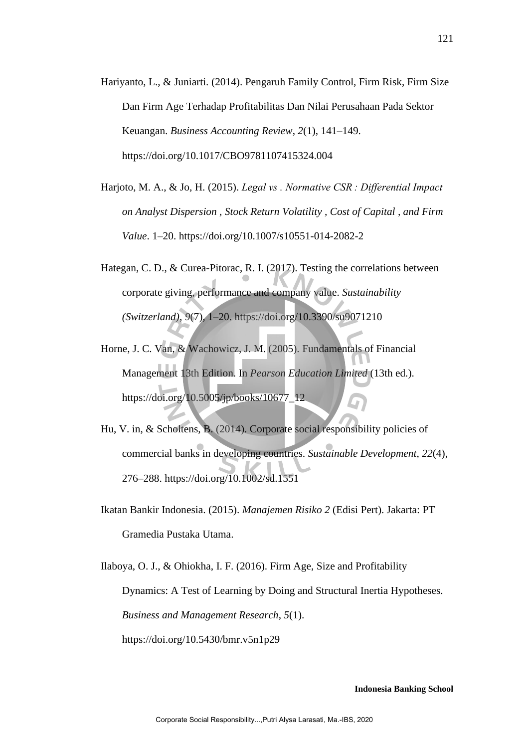- Hariyanto, L., & Juniarti. (2014). Pengaruh Family Control, Firm Risk, Firm Size Dan Firm Age Terhadap Profitabilitas Dan Nilai Perusahaan Pada Sektor Keuangan. *Business Accounting Review*, *2*(1), 141–149. https://doi.org/10.1017/CBO9781107415324.004
- Harjoto, M. A., & Jo, H. (2015). *Legal vs . Normative CSR : Differential Impact on Analyst Dispersion , Stock Return Volatility , Cost of Capital , and Firm Value*. 1–20. https://doi.org/10.1007/s10551-014-2082-2
- Hategan, C. D., & Curea-Pitorac, R. I. (2017). Testing the correlations between corporate giving, performance and company value. *Sustainability (Switzerland)*, *9*(7), 1–20. https://doi.org/10.3390/su9071210
- Horne, J. C. Van, & Wachowicz, J. M. (2005). Fundamentals of Financial Management 13th Edition. In *Pearson Education Limited* (13th ed.). https://doi.org/10.5005/jp/books/10677\_12
- Hu, V. in, & Scholtens, B. (2014). Corporate social responsibility policies of commercial banks in developing countries. *Sustainable Development*, *22*(4), 276–288. https://doi.org/10.1002/sd.1551
- Ikatan Bankir Indonesia. (2015). *Manajemen Risiko 2* (Edisi Pert). Jakarta: PT Gramedia Pustaka Utama.

Ilaboya, O. J., & Ohiokha, I. F. (2016). Firm Age, Size and Profitability Dynamics: A Test of Learning by Doing and Structural Inertia Hypotheses. *Business and Management Research*, *5*(1). https://doi.org/10.5430/bmr.v5n1p29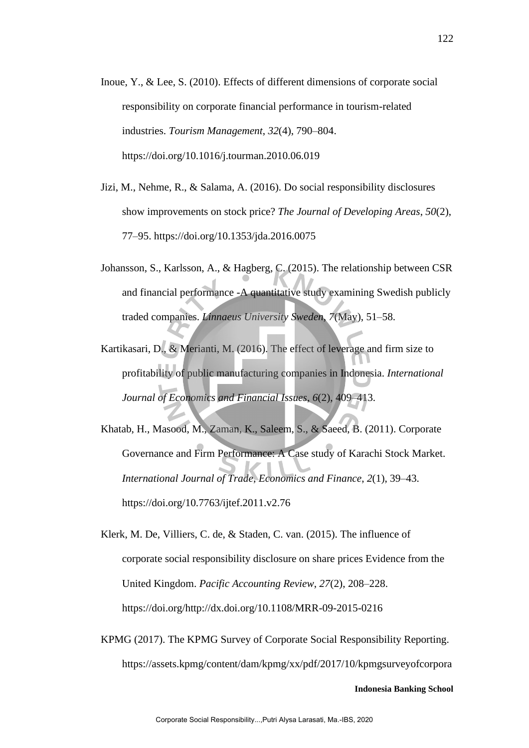- Inoue, Y., & Lee, S. (2010). Effects of different dimensions of corporate social responsibility on corporate financial performance in tourism-related industries. *Tourism Management*, *32*(4), 790–804. https://doi.org/10.1016/j.tourman.2010.06.019
- Jizi, M., Nehme, R., & Salama, A. (2016). Do social responsibility disclosures show improvements on stock price? *The Journal of Developing Areas*, *50*(2), 77–95. https://doi.org/10.1353/jda.2016.0075
- Johansson, S., Karlsson, A., & Hagberg, C. (2015). The relationship between CSR and financial performance -A quantitative study examining Swedish publicly traded companies. *Linnaeus University Sweden*, *7*(May), 51–58.
- Kartikasari, D., & Merianti, M. (2016). The effect of leverage and firm size to profitability of public manufacturing companies in Indonesia. *International Journal of Economics and Financial Issues*, *6*(2), 409–413.
- Khatab, H., Masood, M., Zaman, K., Saleem, S., & Saeed, B. (2011). Corporate Governance and Firm Performance: A Case study of Karachi Stock Market. *International Journal of Trade, Economics and Finance*, *2*(1), 39–43. https://doi.org/10.7763/ijtef.2011.v2.76
- Klerk, M. De, Villiers, C. de, & Staden, C. van. (2015). The influence of corporate social responsibility disclosure on share prices Evidence from the United Kingdom. *Pacific Accounting Review*, *27*(2), 208–228. https://doi.org/http://dx.doi.org/10.1108/MRR-09-2015-0216
- KPMG (2017). The KPMG Survey of Corporate Social Responsibility Reporting. https://assets.kpmg/content/dam/kpmg/xx/pdf/2017/10/kpmgsurveyofcorpora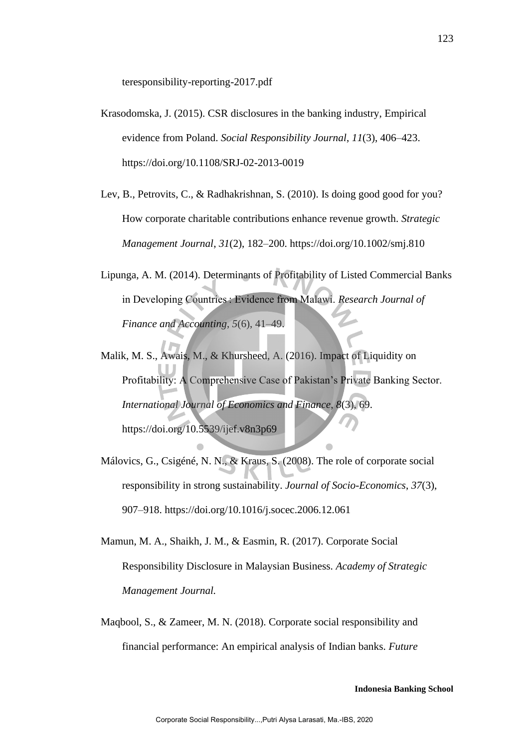teresponsibility-reporting-2017.pdf

- Krasodomska, J. (2015). CSR disclosures in the banking industry, Empirical evidence from Poland. *Social Responsibility Journal*, *11*(3), 406–423. https://doi.org/10.1108/SRJ-02-2013-0019
- Lev, B., Petrovits, C., & Radhakrishnan, S. (2010). Is doing good good for you? How corporate charitable contributions enhance revenue growth. *Strategic Management Journal*, *31*(2), 182–200. https://doi.org/10.1002/smj.810
- Lipunga, A. M. (2014). Determinants of Profitability of Listed Commercial Banks in Developing Countries : Evidence from Malawi. *Research Journal of Finance and Accounting*, *5*(6), 41–49.
- Malik, M. S., Awais, M., & Khursheed, A. (2016). Impact of Liquidity on Profitability: A Comprehensive Case of Pakistan's Private Banking Sector. *International Journal of Economics and Finance*, *8*(3), 69. https://doi.org/10.5539/ijef.v8n3p69
- Málovics, G., Csigéné, N. N., & Kraus, S. (2008). The role of corporate social responsibility in strong sustainability. *Journal of Socio-Economics*, *37*(3), 907–918. https://doi.org/10.1016/j.socec.2006.12.061
- Mamun, M. A., Shaikh, J. M., & Easmin, R. (2017). Corporate Social Responsibility Disclosure in Malaysian Business. *Academy of Strategic Management Journal.*
- Maqbool, S., & Zameer, M. N. (2018). Corporate social responsibility and financial performance: An empirical analysis of Indian banks. *Future*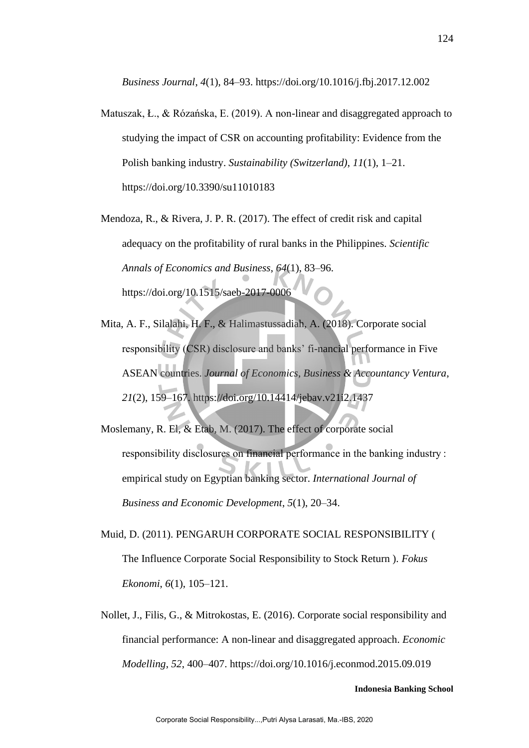*Business Journal*, *4*(1), 84–93. https://doi.org/10.1016/j.fbj.2017.12.002

- Matuszak, Ł., & Rózańska, E. (2019). A non-linear and disaggregated approach to studying the impact of CSR on accounting profitability: Evidence from the Polish banking industry. *Sustainability (Switzerland)*, *11*(1), 1–21. https://doi.org/10.3390/su11010183
- Mendoza, R., & Rivera, J. P. R. (2017). The effect of credit risk and capital adequacy on the profitability of rural banks in the Philippines. *Scientific Annals of Economics and Business*, *64*(1), 83–96. https://doi.org/10.1515/saeb-2017-0006
- Mita, A. F., Silalahi, H. F., & Halimastussadiah, A. (2018). Corporate social responsibility (CSR) disclosure and banks' fi-nancial performance in Five ASEAN countries. *Journal of Economics, Business & Accountancy Ventura*, *21*(2), 159–167. https://doi.org/10.14414/jebav.v21i2.1437
- Moslemany, R. El, & Etab, M. (2017). The effect of corporate social responsibility disclosures on financial performance in the banking industry : empirical study on Egyptian banking sector. *International Journal of Business and Economic Development*, *5*(1), 20–34.
- Muid, D. (2011). PENGARUH CORPORATE SOCIAL RESPONSIBILITY ( The Influence Corporate Social Responsibility to Stock Return ). *Fokus Ekonomi*, *6*(1), 105–121.
- Nollet, J., Filis, G., & Mitrokostas, E. (2016). Corporate social responsibility and financial performance: A non-linear and disaggregated approach. *Economic Modelling*, *52*, 400–407. https://doi.org/10.1016/j.econmod.2015.09.019

124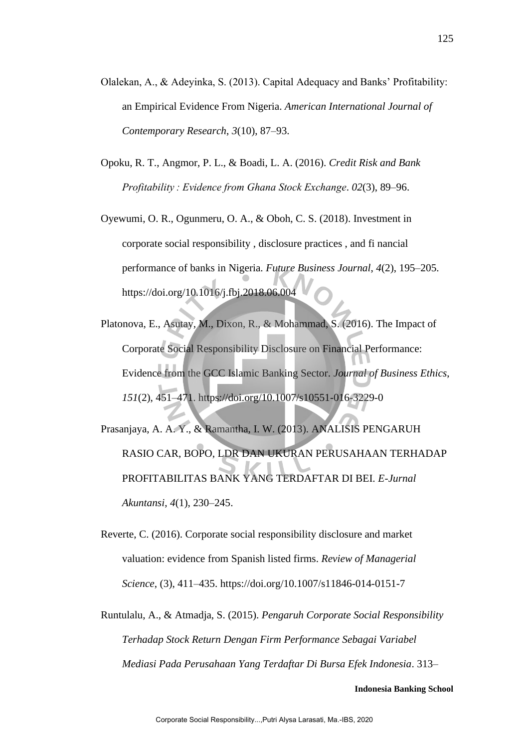- Olalekan, A., & Adeyinka, S. (2013). Capital Adequacy and Banks' Profitability: an Empirical Evidence From Nigeria. *American International Journal of Contemporary Research*, *3*(10), 87–93.
- Opoku, R. T., Angmor, P. L., & Boadi, L. A. (2016). *Credit Risk and Bank Profitability : Evidence from Ghana Stock Exchange*. *02*(3), 89–96.
- Oyewumi, O. R., Ogunmeru, O. A., & Oboh, C. S. (2018). Investment in corporate social responsibility , disclosure practices , and fi nancial performance of banks in Nigeria. *Future Business Journal*, *4*(2), 195–205. https://doi.org/10.1016/j.fbj.2018.06.004
- Platonova, E., Asutay, M., Dixon, R., & Mohammad, S. (2016). The Impact of Corporate Social Responsibility Disclosure on Financial Performance: Evidence from the GCC Islamic Banking Sector. *Journal of Business Ethics*, *151*(2), 451–471. https://doi.org/10.1007/s10551-016-3229-0
- Prasanjaya, A. A. Y., & Ramantha, I. W. (2013). ANALISIS PENGARUH RASIO CAR, BOPO, LDR DAN UKURAN PERUSAHAAN TERHADAP PROFITABILITAS BANK YANG TERDAFTAR DI BEI. *E-Jurnal Akuntansi*, *4*(1), 230–245.
- Reverte, C. (2016). Corporate social responsibility disclosure and market valuation: evidence from Spanish listed firms. *Review of Managerial Science*, (3), 411–435. https://doi.org/10.1007/s11846-014-0151-7
- Runtulalu, A., & Atmadja, S. (2015). *Pengaruh Corporate Social Responsibility Terhadap Stock Return Dengan Firm Performance Sebagai Variabel Mediasi Pada Perusahaan Yang Terdaftar Di Bursa Efek Indonesia*. 313–

125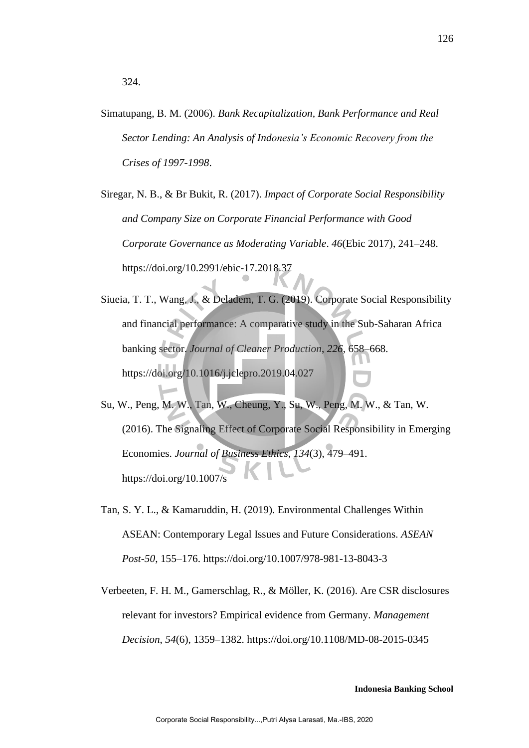Simatupang, B. M. (2006). *Bank Recapitalization, Bank Performance and Real Sector Lending: An Analysis of Indonesia's Economic Recovery from the Crises of 1997-1998*.

Siregar, N. B., & Br Bukit, R. (2017). *Impact of Corporate Social Responsibility and Company Size on Corporate Financial Performance with Good Corporate Governance as Moderating Variable*. *46*(Ebic 2017), 241–248. https://doi.org/10.2991/ebic-17.2018.37

- Siueia, T. T., Wang, J., & Deladem, T. G. (2019). Corporate Social Responsibility and financial performance: A comparative study in the Sub-Saharan Africa banking sector. *Journal of Cleaner Production*, *226*, 658–668. https://doi.org/10.1016/j.jclepro.2019.04.027
- Su, W., Peng, M. W., Tan, W., Cheung, Y., Su, W., Peng, M. W., & Tan, W. (2016). The Signaling Effect of Corporate Social Responsibility in Emerging Economies. *Journal of Business Ethics*, *134*(3), 479–491. https://doi.org/10.1007/s
- Tan, S. Y. L., & Kamaruddin, H. (2019). Environmental Challenges Within ASEAN: Contemporary Legal Issues and Future Considerations. *ASEAN Post-50*, 155–176. https://doi.org/10.1007/978-981-13-8043-3
- Verbeeten, F. H. M., Gamerschlag, R., & Möller, K. (2016). Are CSR disclosures relevant for investors? Empirical evidence from Germany. *Management Decision*, *54*(6), 1359–1382. https://doi.org/10.1108/MD-08-2015-0345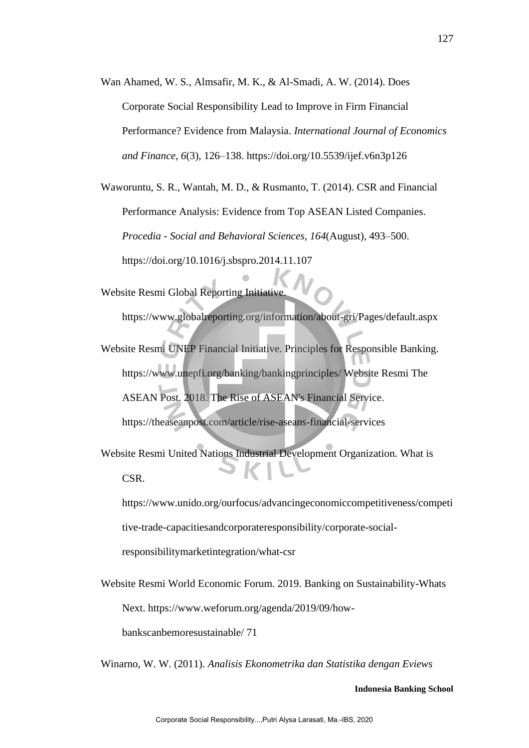Wan Ahamed, W. S., Almsafir, M. K., & Al-Smadi, A. W. (2014). Does Corporate Social Responsibility Lead to Improve in Firm Financial Performance? Evidence from Malaysia. *International Journal of Economics and Finance*, *6*(3), 126–138. https://doi.org/10.5539/ijef.v6n3p126

Waworuntu, S. R., Wantah, M. D., & Rusmanto, T. (2014). CSR and Financial Performance Analysis: Evidence from Top ASEAN Listed Companies. *Procedia - Social and Behavioral Sciences*, *164*(August), 493–500. https://doi.org/10.1016/j.sbspro.2014.11.107

Website Resmi Global Reporting Initiative.

https://www.globalreporting.org/information/about-gri/Pages/default.aspx

Website Resmi UNEP Financial Initiative. Principles for Responsible Banking. https://www.unepfi.org/banking/bankingprinciples/ Website Resmi The ASEAN Post. 2018. The Rise of ASEAN's Financial Service. https://theaseanpost.com/article/rise-aseans-financial-services

Website Resmi United Nations Industrial Development Organization. What is CSR.

https://www.unido.org/ourfocus/advancingeconomiccompetitiveness/competi

tive-trade-capacitiesandcorporateresponsibility/corporate-social-

responsibilitymarketintegration/what-csr

Website Resmi World Economic Forum. 2019. Banking on Sustainability-Whats Next. https://www.weforum.org/agenda/2019/09/how-

bankscanbemoresustainable/ 71

Winarno, W. W. (2011). *Analisis Ekonometrika dan Statistika dengan Eviews*